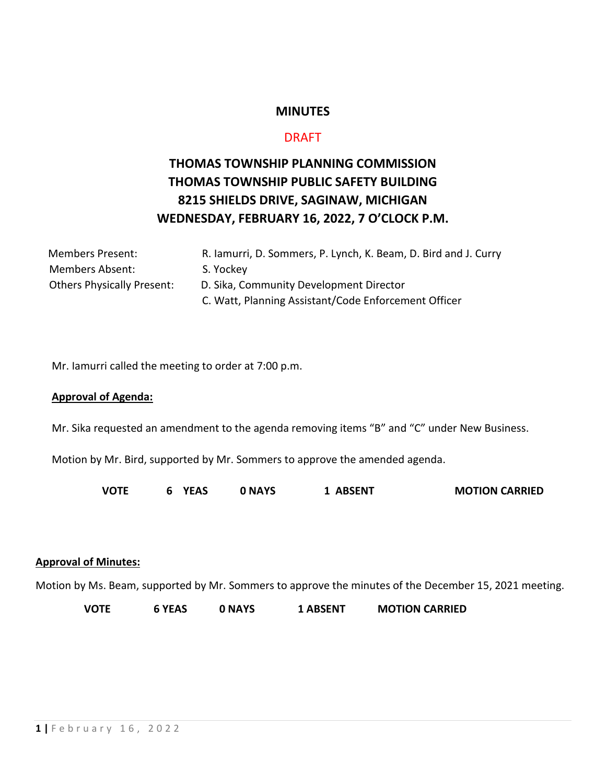# **MINUTES**

# DRAFT

# **THOMAS TOWNSHIP PLANNING COMMISSION THOMAS TOWNSHIP PUBLIC SAFETY BUILDING 8215 SHIELDS DRIVE, SAGINAW, MICHIGAN WEDNESDAY, FEBRUARY 16, 2022, 7 O'CLOCK P.M.**

| <b>Members Present:</b>           | R. lamurri, D. Sommers, P. Lynch, K. Beam, D. Bird and J. Curry |
|-----------------------------------|-----------------------------------------------------------------|
| <b>Members Absent:</b>            | S. Yockey                                                       |
| <b>Others Physically Present:</b> | D. Sika, Community Development Director                         |
|                                   | C. Watt, Planning Assistant/Code Enforcement Officer            |

Mr. Iamurri called the meeting to order at 7:00 p.m.

#### **Approval of Agenda:**

Mr. Sika requested an amendment to the agenda removing items "B" and "C" under New Business.

Motion by Mr. Bird, supported by Mr. Sommers to approve the amended agenda.

**VOTE 6 YEAS 0 NAYS 1 ABSENT MOTION CARRIED**

#### **Approval of Minutes:**

Motion by Ms. Beam, supported by Mr. Sommers to approve the minutes of the December 15, 2021 meeting.

**VOTE 6 YEAS 0 NAYS 1 ABSENT MOTION CARRIED**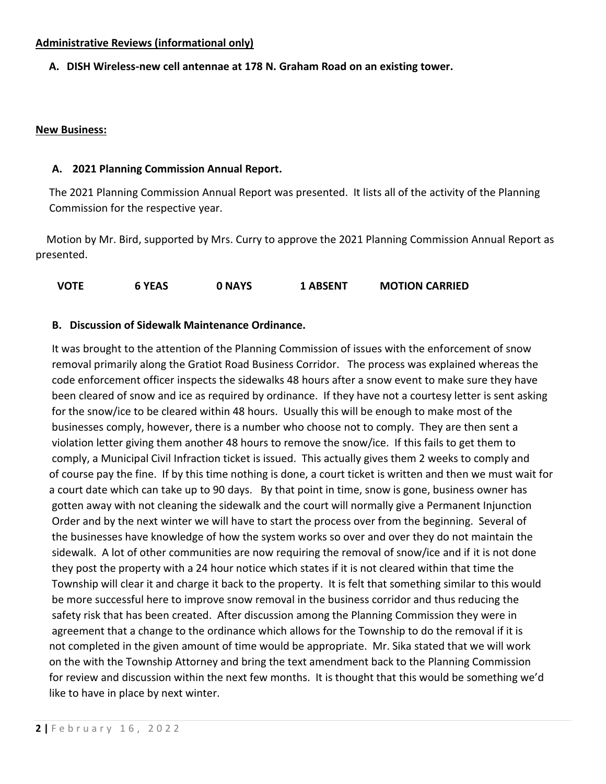## **Administrative Reviews (informational only)**

### **A. DISH Wireless-new cell antennae at 178 N. Graham Road on an existing tower.**

### **New Business:**

#### **A. 2021 Planning Commission Annual Report.**

The 2021 Planning Commission Annual Report was presented. It lists all of the activity of the Planning Commission for the respective year.

 Motion by Mr. Bird, supported by Mrs. Curry to approve the 2021 Planning Commission Annual Report as presented.

**VOTE 6 YEAS 0 NAYS 1 ABSENT MOTION CARRIED**

### **B. Discussion of Sidewalk Maintenance Ordinance.**

It was brought to the attention of the Planning Commission of issues with the enforcement of snow removal primarily along the Gratiot Road Business Corridor. The process was explained whereas the code enforcement officer inspects the sidewalks 48 hours after a snow event to make sure they have been cleared of snow and ice as required by ordinance. If they have not a courtesy letter is sent asking for the snow/ice to be cleared within 48 hours. Usually this will be enough to make most of the businesses comply, however, there is a number who choose not to comply. They are then sent a violation letter giving them another 48 hours to remove the snow/ice. If this fails to get them to comply, a Municipal Civil Infraction ticket is issued. This actually gives them 2 weeks to comply and of course pay the fine. If by this time nothing is done, a court ticket is written and then we must wait for a court date which can take up to 90 days. By that point in time, snow is gone, business owner has gotten away with not cleaning the sidewalk and the court will normally give a Permanent Injunction Order and by the next winter we will have to start the process over from the beginning. Several of the businesses have knowledge of how the system works so over and over they do not maintain the sidewalk. A lot of other communities are now requiring the removal of snow/ice and if it is not done they post the property with a 24 hour notice which states if it is not cleared within that time the Township will clear it and charge it back to the property. It is felt that something similar to this would be more successful here to improve snow removal in the business corridor and thus reducing the safety risk that has been created. After discussion among the Planning Commission they were in agreement that a change to the ordinance which allows for the Township to do the removal if it is not completed in the given amount of time would be appropriate. Mr. Sika stated that we will work on the with the Township Attorney and bring the text amendment back to the Planning Commission for review and discussion within the next few months. It is thought that this would be something we'd like to have in place by next winter.